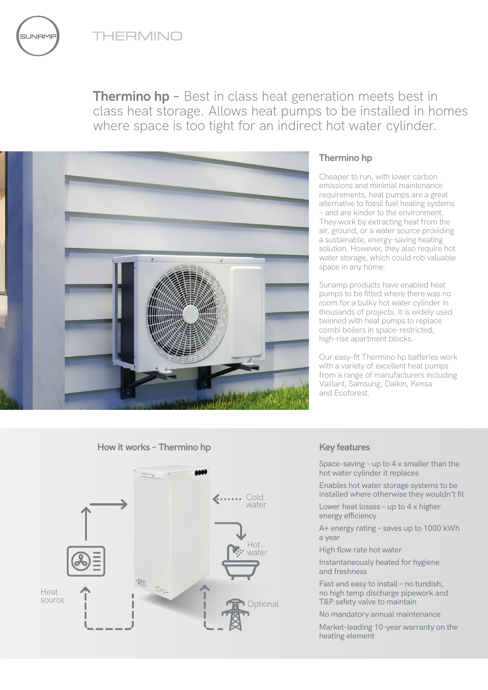THERMINO

**JNAME** 





## **Thermino hp**

Cheaper to run, with lower carbon emissions and minimal maintenance requirements, heat pumps are a great alternative to fossil fuel heating systems – and are kinder to the environment. They work by extracting heat from the air, ground, or a water source providing a sustainable, energy-saving heating solution. However, they also require hot water storage, which could rob valuable space in any home.

Sunamp products have enabled heat pumps to be fitted where there was no room for a bulky hot water cylinder in thousands of projects. It is widely used twinned with heat pumps to replace combi boilers in space-restricted, high-rise apartment blocks.

Our easy-fit Thermino hp batteries work with a variety of excellent heat pumps from a range of manufacturers including Vaillant, Samsung, Daikin, Kensa and Ecoforest.





Space-saving – up to 4 x smaller than the hot water cylinder it replaces

Enables hot water storage systems to be installed where otherwise they wouldn't fit

Lower heat losses – up to 4 x higher energy efficiency

A+ energy rating – saves up to 1000 kWh a year

High flow rate hot water

Instantaneously heated for hygiene and freshness

Fast and easy to install – no tundish, no high temp discharge pipework and T&P safety valve to maintain

No mandatory annual maintenance

Market-leading 10-year warranty on the heating element